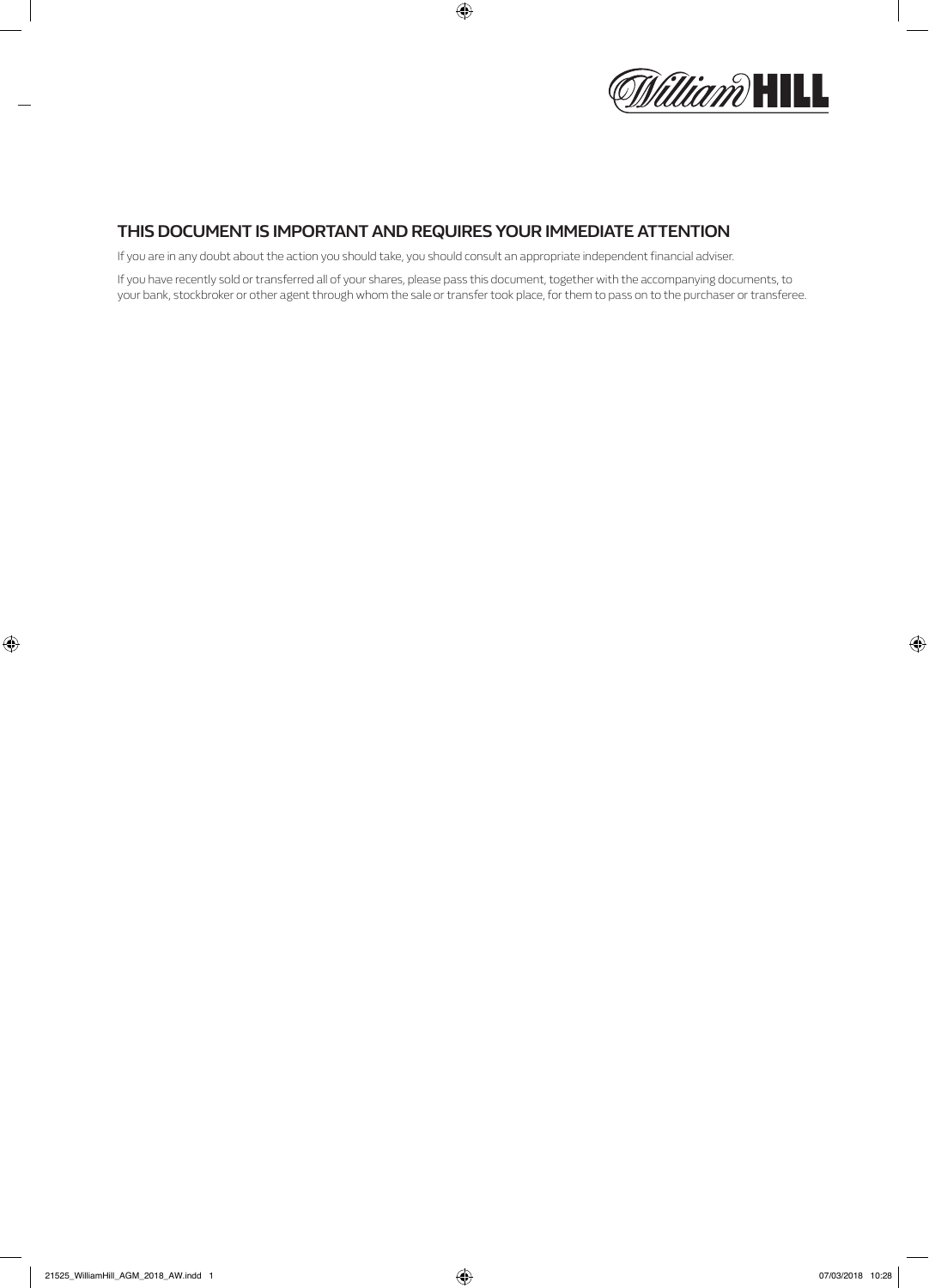

## **THIS DOCUMENT IS IMPORTANT AND REQUIRES YOUR IMMEDIATE ATTENTION**

If you are in any doubt about the action you should take, you should consult an appropriate independent financial adviser.

If you have recently sold or transferred all of your shares, please pass this document, together with the accompanying documents, to your bank, stockbroker or other agent through whom the sale or transfer took place, for them to pass on to the purchaser or transferee.

 $\bigoplus$ 

 $\bigoplus$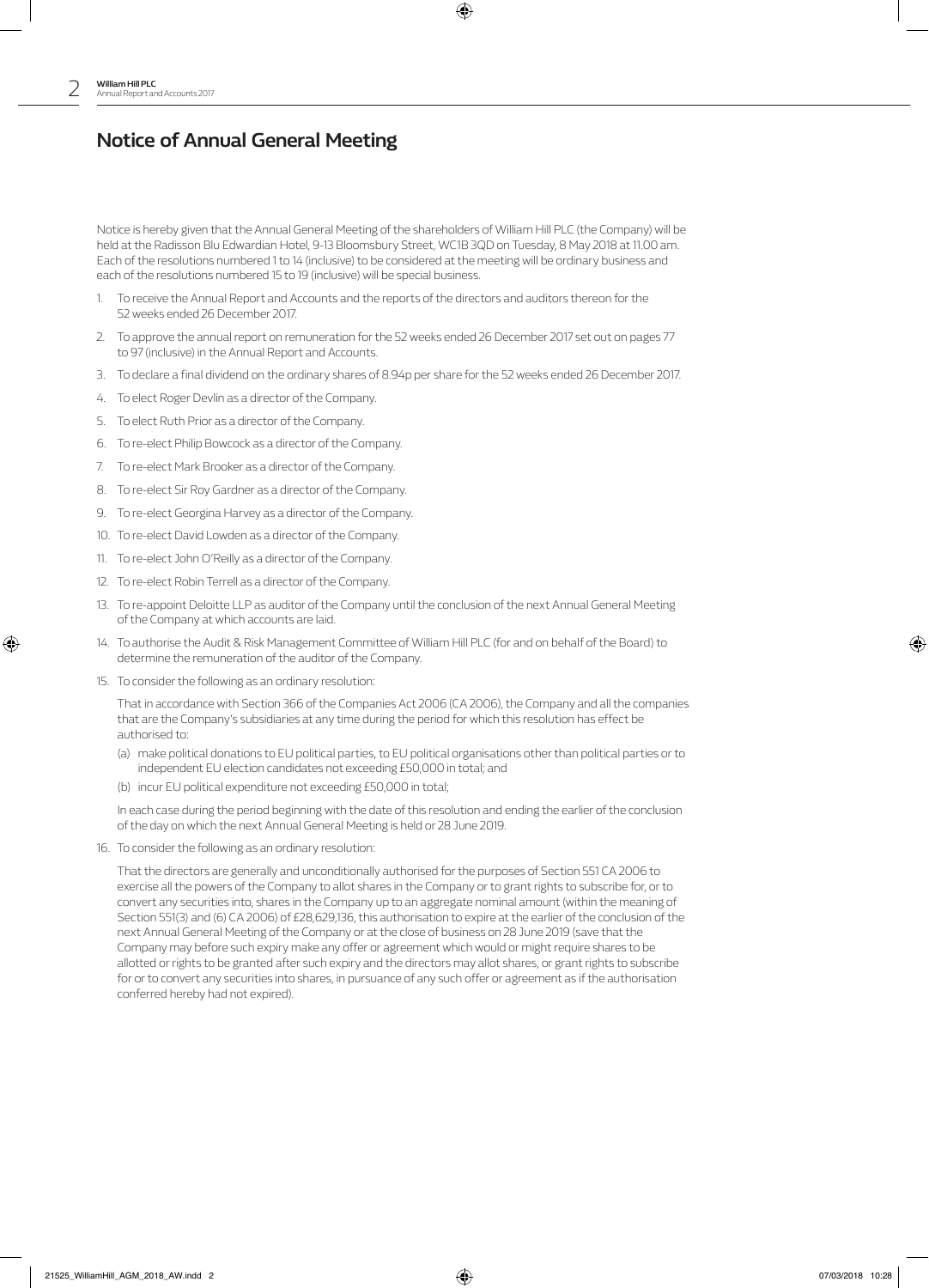# **Notice of Annual General Meeting**

Notice is hereby given that the Annual General Meeting of the shareholders of William Hill PLC (the Company) will be held at the Radisson Blu Edwardian Hotel, 9-13 Bloomsbury Street, WC1B 3QD on Tuesday, 8 May 2018 at 11.00 am. Each of the resolutions numbered 1 to 14 (inclusive) to be considered at the meeting will be ordinary business and each of the resolutions numbered 15 to 19 (inclusive) will be special business.

⊕

- 1. To receive the Annual Report and Accounts and the reports of the directors and auditors thereon for the 52 weeks ended 26 December 2017.
- 2. To approve the annual report on remuneration for the 52 weeks ended 26 December 2017 set out on pages 77 to 97 (inclusive) in the Annual Report and Accounts.
- 3. To declare a final dividend on the ordinary shares of 8.94p per share for the 52 weeks ended 26 December 2017.
- 4. To elect Roger Devlin as a director of the Company.
- 5. To elect Ruth Prior as a director of the Company.
- 6. To re-elect Philip Bowcock as a director of the Company.
- 7. To re-elect Mark Brooker as a director of the Company.
- 8. To re-elect Sir Roy Gardner as a director of the Company.
- 9. To re-elect Georgina Harvey as a director of the Company.
- 10. To re-elect David Lowden as a director of the Company.
- 11. To re-elect John O'Reilly as a director of the Company.
- 12. To re-elect Robin Terrell as a director of the Company.
- 13. To re-appoint Deloitte LLP as auditor of the Company until the conclusion of the next Annual General Meeting of the Company at which accounts are laid.
- 14. To authorise the Audit & Risk Management Committee of William Hill PLC (for and on behalf of the Board) to determine the remuneration of the auditor of the Company.
- 15. To consider the following as an ordinary resolution:

⊕

 That in accordance with Section 366 of the Companies Act 2006 (CA 2006), the Company and all the companies that are the Company's subsidiaries at any time during the period for which this resolution has effect be authorised to:

- (a) make political donations to EU political parties, to EU political organisations other than political parties or to independent EU election candidates not exceeding £50,000 in total; and
- (b) incur EU political expenditure not exceeding £50,000 in total;

 In each case during the period beginning with the date of this resolution and ending the earlier of the conclusion of the day on which the next Annual General Meeting is held or 28 June 2019.

16. To consider the following as an ordinary resolution:

 That the directors are generally and unconditionally authorised for the purposes of Section 551 CA 2006 to exercise all the powers of the Company to allot shares in the Company or to grant rights to subscribe for, or to convert any securities into, shares in the Company up to an aggregate nominal amount (within the meaning of Section 551(3) and (6) CA 2006) of £28,629,136, this authorisation to expire at the earlier of the conclusion of the next Annual General Meeting of the Company or at the close of business on 28 June 2019 (save that the Company may before such expiry make any offer or agreement which would or might require shares to be allotted or rights to be granted after such expiry and the directors may allot shares, or grant rights to subscribe for or to convert any securities into shares, in pursuance of any such offer or agreement as if the authorisation conferred hereby had not expired).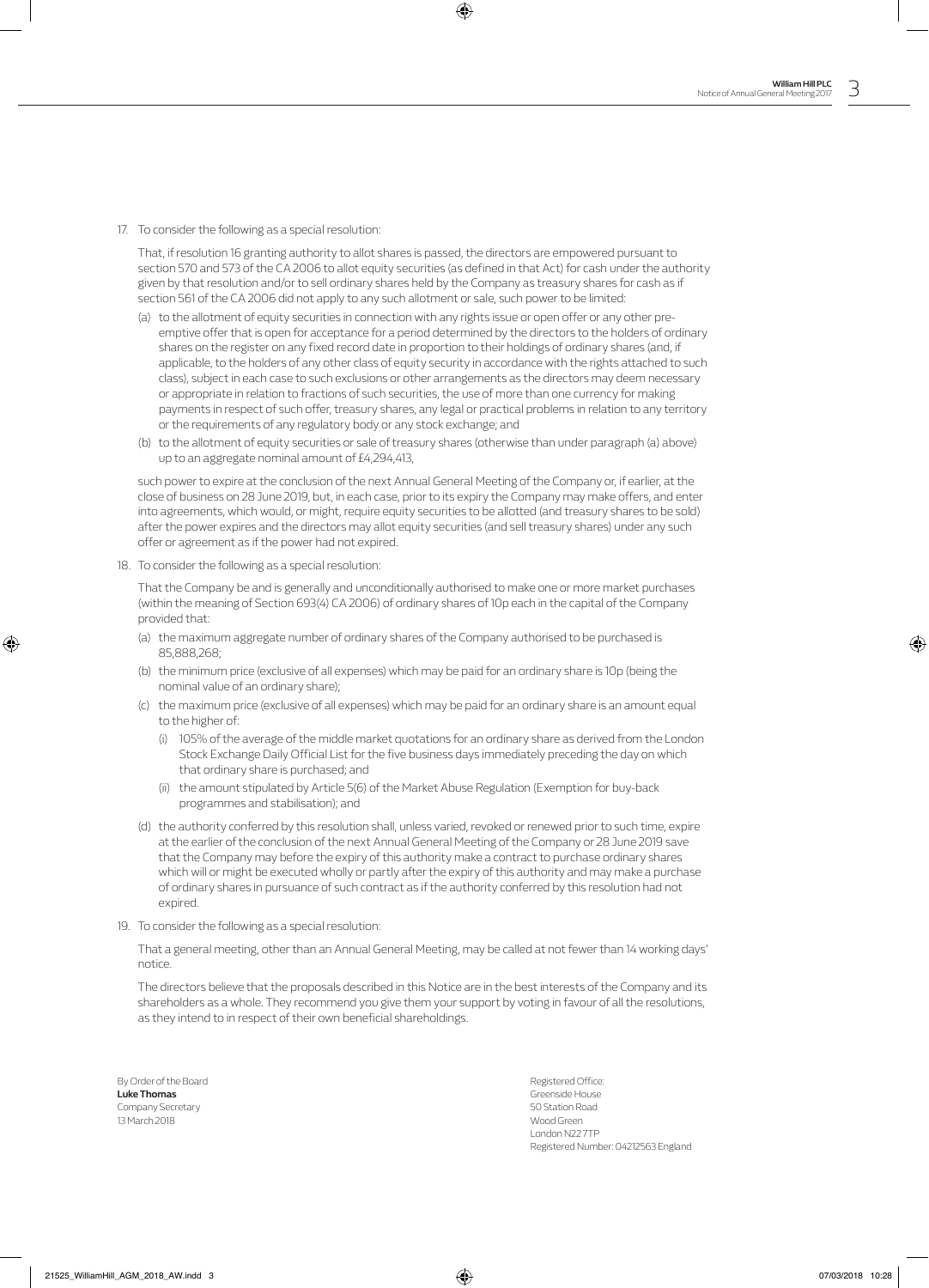17. To consider the following as a special resolution:

 That, if resolution 16 granting authority to allot shares is passed, the directors are empowered pursuant to section 570 and 573 of the CA 2006 to allot equity securities (as defined in that Act) for cash under the authority given by that resolution and/or to sell ordinary shares held by the Company as treasury shares for cash as if section 561 of the CA 2006 did not apply to any such allotment or sale, such power to be limited:

⊕

- (a) to the allotment of equity securities in connection with any rights issue or open offer or any other preemptive offer that is open for acceptance for a period determined by the directors to the holders of ordinary shares on the register on any fixed record date in proportion to their holdings of ordinary shares (and, if applicable, to the holders of any other class of equity security in accordance with the rights attached to such class), subject in each case to such exclusions or other arrangements as the directors may deem necessary or appropriate in relation to fractions of such securities, the use of more than one currency for making payments in respect of such offer, treasury shares, any legal or practical problems in relation to any territory or the requirements of any regulatory body or any stock exchange; and
- (b) to the allotment of equity securities or sale of treasury shares (otherwise than under paragraph (a) above) up to an aggregate nominal amount of £4,294,413,

 such power to expire at the conclusion of the next Annual General Meeting of the Company or, if earlier, at the close of business on 28 June 2019, but, in each case, prior to its expiry the Company may make offers, and enter into agreements, which would, or might, require equity securities to be allotted (and treasury shares to be sold) after the power expires and the directors may allot equity securities (and sell treasury shares) under any such offer or agreement as if the power had not expired.

18. To consider the following as a special resolution:

 That the Company be and is generally and unconditionally authorised to make one or more market purchases (within the meaning of Section 693(4) CA 2006) of ordinary shares of 10p each in the capital of the Company provided that:

- (a) the maximum aggregate number of ordinary shares of the Company authorised to be purchased is 85,888,268;
- (b) the minimum price (exclusive of all expenses) which may be paid for an ordinary share is 10p (being the nominal value of an ordinary share);
- (c) the maximum price (exclusive of all expenses) which may be paid for an ordinary share is an amount equal to the higher of:
	- (i) 105% of the average of the middle market quotations for an ordinary share as derived from the London Stock Exchange Daily Official List for the five business days immediately preceding the day on which that ordinary share is purchased; and
	- (ii) the amount stipulated by Article 5(6) of the Market Abuse Regulation (Exemption for buy-back programmes and stabilisation); and
- (d) the authority conferred by this resolution shall, unless varied, revoked or renewed prior to such time, expire at the earlier of the conclusion of the next Annual General Meeting of the Company or 28 June 2019 save that the Company may before the expiry of this authority make a contract to purchase ordinary shares which will or might be executed wholly or partly after the expiry of this authority and may make a purchase of ordinary shares in pursuance of such contract as if the authority conferred by this resolution had not expired.
- 19. To consider the following as a special resolution:

 That a general meeting, other than an Annual General Meeting, may be called at not fewer than 14 working days' notice.

 The directors believe that the proposals described in this Notice are in the best interests of the Company and its shareholders as a whole. They recommend you give them your support by voting in favour of all the resolutions, as they intend to in respect of their own beneficial shareholdings.

By Order of the Board Registered Office: **Luke Thomas** Greenside House Company Secretary 50 Station Road 13 March 2018 Wood Green

⊕

London N22 7TP Registered Number: 04212563 England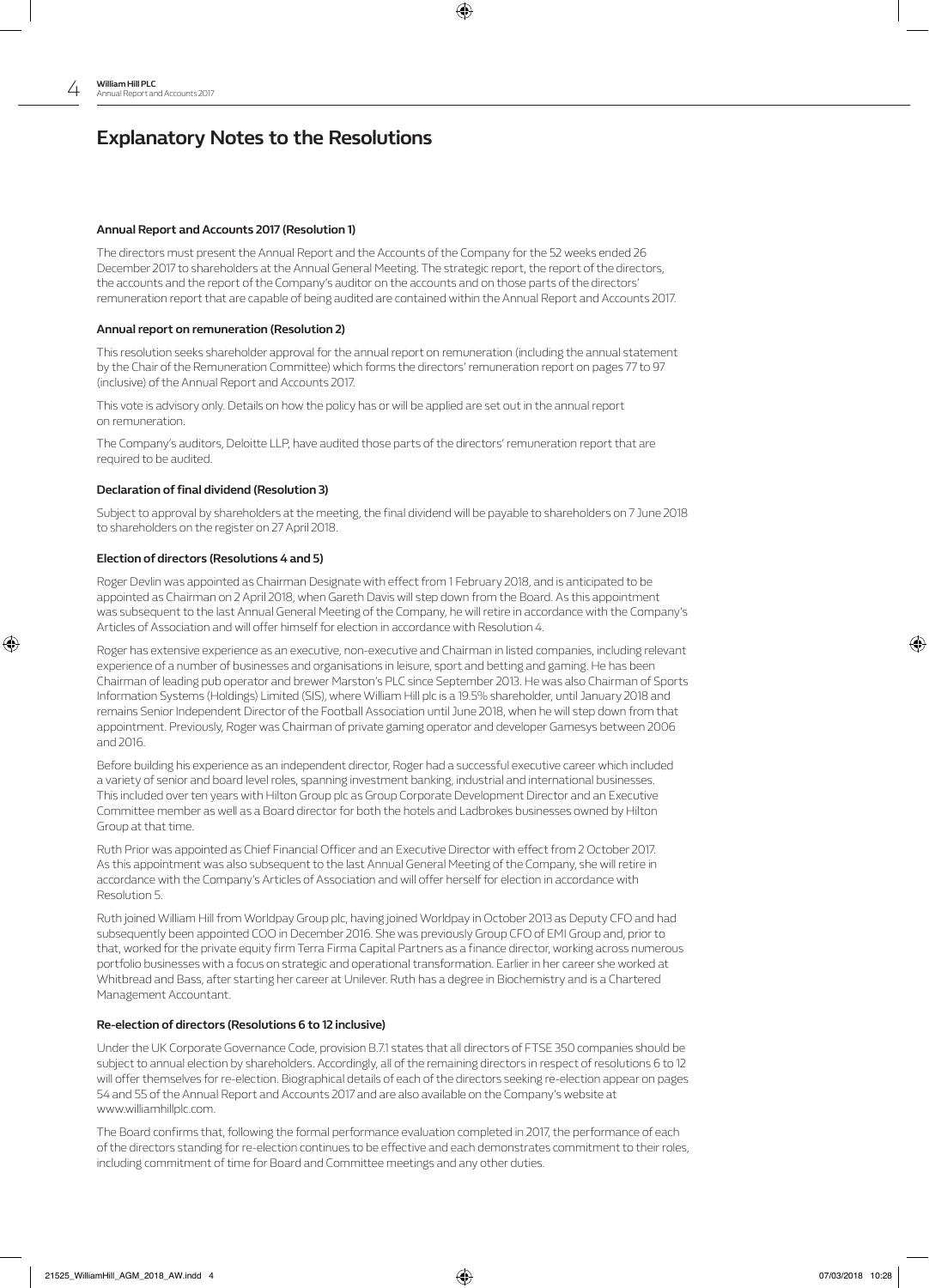# **Explanatory Notes to the Resolutions**

## **Annual Report and Accounts 2017 (Resolution 1)**

The directors must present the Annual Report and the Accounts of the Company for the 52 weeks ended 26 December 2017 to shareholders at the Annual General Meeting. The strategic report, the report of the directors, the accounts and the report of the Company's auditor on the accounts and on those parts of the directors' remuneration report that are capable of being audited are contained within the Annual Report and Accounts 2017.

⊕

## **Annual report on remuneration (Resolution 2)**

This resolution seeks shareholder approval for the annual report on remuneration (including the annual statement by the Chair of the Remuneration Committee) which forms the directors' remuneration report on pages 77 to 97 (inclusive) of the Annual Report and Accounts 2017.

This vote is advisory only. Details on how the policy has or will be applied are set out in the annual report on remuneration.

The Company's auditors, Deloitte LLP, have audited those parts of the directors' remuneration report that are required to be audited.

#### **Declaration of final dividend (Resolution 3)**

Subject to approval by shareholders at the meeting, the final dividend will be payable to shareholders on 7 June 2018 to shareholders on the register on 27 April 2018.

## **Election of directors (Resolutions 4 and 5)**

⊕

Roger Devlin was appointed as Chairman Designate with effect from 1 February 2018, and is anticipated to be appointed as Chairman on 2 April 2018, when Gareth Davis will step down from the Board. As this appointment was subsequent to the last Annual General Meeting of the Company, he will retire in accordance with the Company's Articles of Association and will offer himself for election in accordance with Resolution 4.

Roger has extensive experience as an executive, non-executive and Chairman in listed companies, including relevant experience of a number of businesses and organisations in leisure, sport and betting and gaming. He has been Chairman of leading pub operator and brewer Marston's PLC since September 2013. He was also Chairman of Sports Information Systems (Holdings) Limited (SIS), where William Hill plc is a 19.5% shareholder, until January 2018 and remains Senior Independent Director of the Football Association until June 2018, when he will step down from that appointment. Previously, Roger was Chairman of private gaming operator and developer Gamesys between 2006 and 2016.

Before building his experience as an independent director, Roger had a successful executive career which included a variety of senior and board level roles, spanning investment banking, industrial and international businesses. This included over ten years with Hilton Group plc as Group Corporate Development Director and an Executive Committee member as well as a Board director for both the hotels and Ladbrokes businesses owned by Hilton Group at that time.

Ruth Prior was appointed as Chief Financial Officer and an Executive Director with effect from 2 October 2017. As this appointment was also subsequent to the last Annual General Meeting of the Company, she will retire in accordance with the Company's Articles of Association and will offer herself for election in accordance with Resolution 5.

Ruth joined William Hill from Worldpay Group plc, having joined Worldpay in October 2013 as Deputy CFO and had subsequently been appointed COO in December 2016. She was previously Group CFO of EMI Group and, prior to that, worked for the private equity firm Terra Firma Capital Partners as a finance director, working across numerous portfolio businesses with a focus on strategic and operational transformation. Earlier in her career she worked at Whitbread and Bass, after starting her career at Unilever. Ruth has a degree in Biochemistry and is a Chartered Management Accountant.

#### **Re-election of directors (Resolutions 6 to 12 inclusive)**

Under the UK Corporate Governance Code, provision B.7.1 states that all directors of FTSE 350 companies should be subject to annual election by shareholders. Accordingly, all of the remaining directors in respect of resolutions 6 to 12 will offer themselves for re-election. Biographical details of each of the directors seeking re-election appear on pages 54 and 55 of the Annual Report and Accounts 2017 and are also available on the Company's website at www.williamhillplc.com.

The Board confirms that, following the formal performance evaluation completed in 2017, the performance of each of the directors standing for re-election continues to be effective and each demonstrates commitment to their roles, including commitment of time for Board and Committee meetings and any other duties.

♠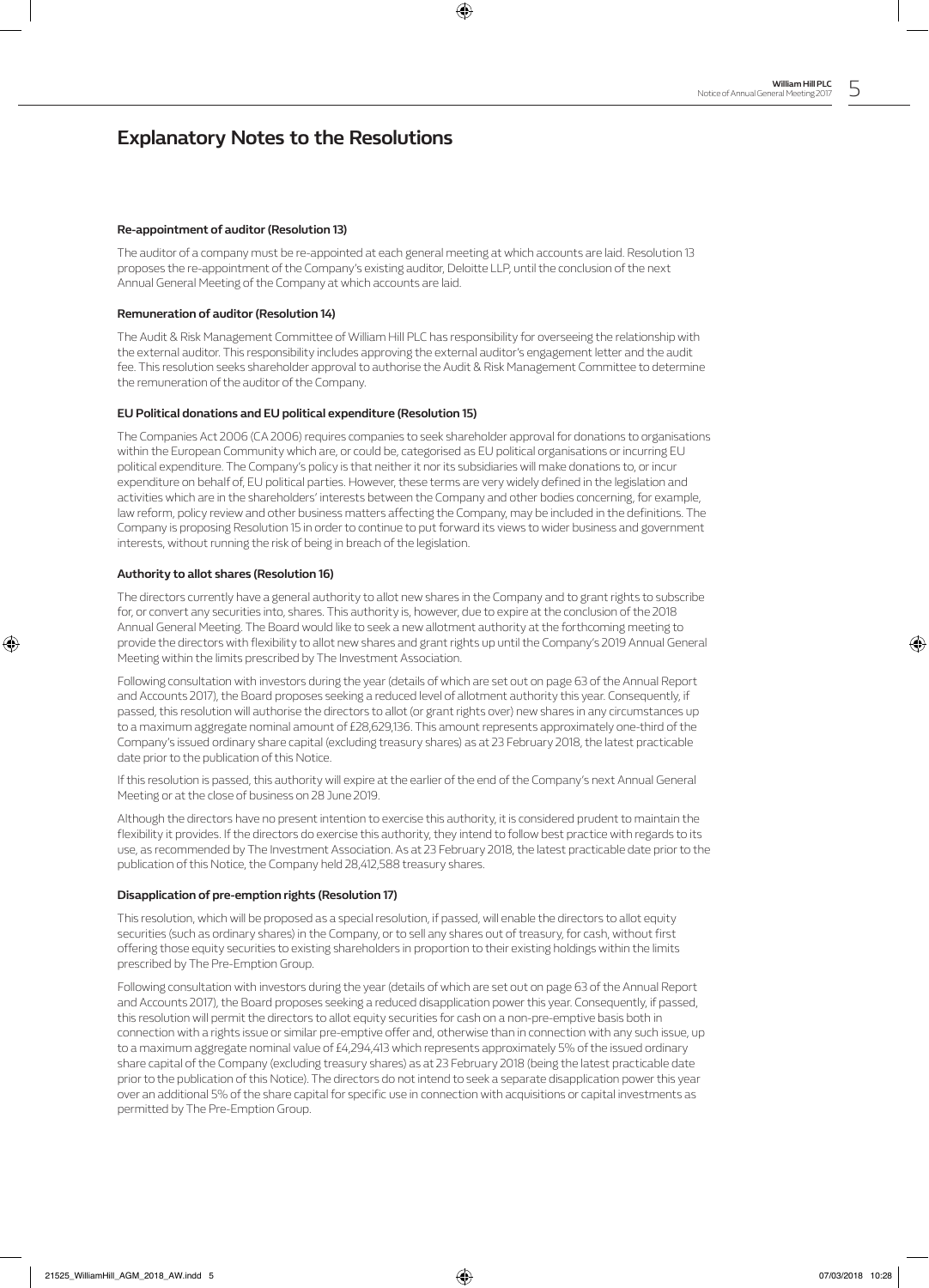## **Explanatory Notes to the Resolutions**

## **Re-appointment of auditor (Resolution 13)**

The auditor of a company must be re-appointed at each general meeting at which accounts are laid. Resolution 13 proposes the re-appointment of the Company's existing auditor, Deloitte LLP, until the conclusion of the next Annual General Meeting of the Company at which accounts are laid.

⊕

## **Remuneration of auditor (Resolution 14)**

The Audit & Risk Management Committee of William Hill PLC has responsibility for overseeing the relationship with the external auditor. This responsibility includes approving the external auditor's engagement letter and the audit fee. This resolution seeks shareholder approval to authorise the Audit & Risk Management Committee to determine the remuneration of the auditor of the Company.

## **EU Political donations and EU political expenditure (Resolution 15)**

The Companies Act 2006 (CA 2006) requires companies to seek shareholder approval for donations to organisations within the European Community which are, or could be, categorised as EU political organisations or incurring EU political expenditure. The Company's policy is that neither it nor its subsidiaries will make donations to, or incur expenditure on behalf of, EU political parties. However, these terms are very widely defined in the legislation and activities which are in the shareholders' interests between the Company and other bodies concerning, for example, law reform, policy review and other business matters affecting the Company, may be included in the definitions. The Company is proposing Resolution 15 in order to continue to put forward its views to wider business and government interests, without running the risk of being in breach of the legislation.

### **Authority to allot shares (Resolution 16)**

⊕

The directors currently have a general authority to allot new shares in the Company and to grant rights to subscribe for, or convert any securities into, shares. This authority is, however, due to expire at the conclusion of the 2018 Annual General Meeting. The Board would like to seek a new allotment authority at the forthcoming meeting to provide the directors with flexibility to allot new shares and grant rights up until the Company's 2019 Annual General Meeting within the limits prescribed by The Investment Association.

Following consultation with investors during the year (details of which are set out on page 63 of the Annual Report and Accounts 2017), the Board proposes seeking a reduced level of allotment authority this year. Consequently, if passed, this resolution will authorise the directors to allot (or grant rights over) new shares in any circumstances up to a maximum aggregate nominal amount of £28,629,136. This amount represents approximately one-third of the Company's issued ordinary share capital (excluding treasury shares) as at 23 February 2018, the latest practicable date prior to the publication of this Notice.

If this resolution is passed, this authority will expire at the earlier of the end of the Company's next Annual General Meeting or at the close of business on 28 June 2019.

Although the directors have no present intention to exercise this authority, it is considered prudent to maintain the flexibility it provides. If the directors do exercise this authority, they intend to follow best practice with regards to its use, as recommended by The Investment Association. As at 23 February 2018, the latest practicable date prior to the publication of this Notice, the Company held 28,412,588 treasury shares.

### **Disapplication of pre-emption rights (Resolution 17)**

This resolution, which will be proposed as a special resolution, if passed, will enable the directors to allot equity securities (such as ordinary shares) in the Company, or to sell any shares out of treasury, for cash, without first offering those equity securities to existing shareholders in proportion to their existing holdings within the limits prescribed by The Pre-Emption Group.

Following consultation with investors during the year (details of which are set out on page 63 of the Annual Report and Accounts 2017), the Board proposes seeking a reduced disapplication power this year. Consequently, if passed, this resolution will permit the directors to allot equity securities for cash on a non-pre-emptive basis both in connection with a rights issue or similar pre-emptive offer and, otherwise than in connection with any such issue, up to a maximum aggregate nominal value of £4,294,413 which represents approximately 5% of the issued ordinary share capital of the Company (excluding treasury shares) as at 23 February 2018 (being the latest practicable date prior to the publication of this Notice). The directors do not intend to seek a separate disapplication power this year over an additional 5% of the share capital for specific use in connection with acquisitions or capital investments as permitted by The Pre-Emption Group.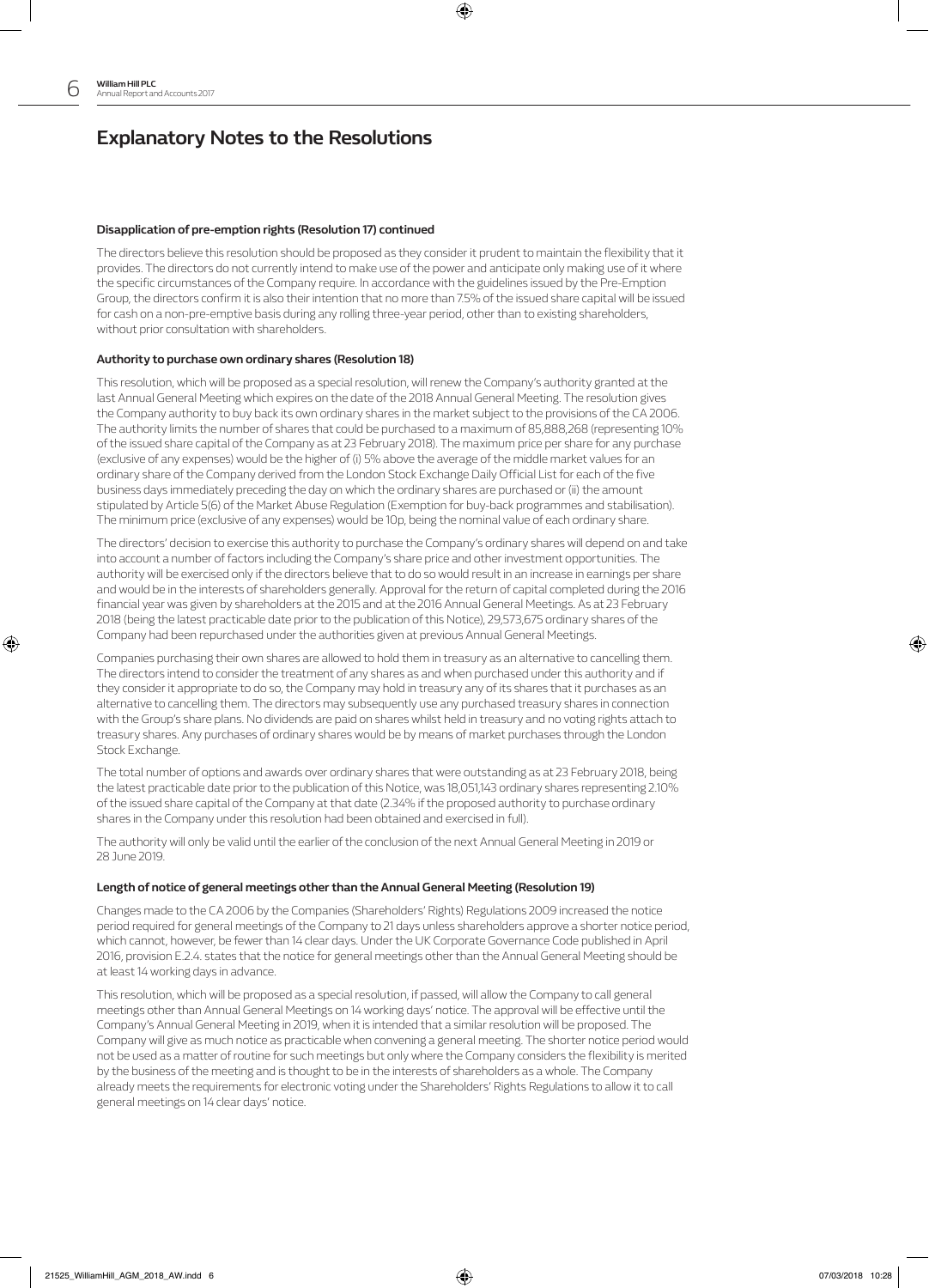⊕

# **Explanatory Notes to the Resolutions**

## **Disapplication of pre-emption rights (Resolution 17) continued**

The directors believe this resolution should be proposed as they consider it prudent to maintain the flexibility that it provides. The directors do not currently intend to make use of the power and anticipate only making use of it where the specific circumstances of the Company require. In accordance with the guidelines issued by the Pre-Emption Group, the directors confirm it is also their intention that no more than 7.5% of the issued share capital will be issued for cash on a non-pre-emptive basis during any rolling three-year period, other than to existing shareholders, without prior consultation with shareholders.

⊕

## **Authority to purchase own ordinary shares (Resolution 18)**

This resolution, which will be proposed as a special resolution, will renew the Company's authority granted at the last Annual General Meeting which expires on the date of the 2018 Annual General Meeting. The resolution gives the Company authority to buy back its own ordinary shares in the market subject to the provisions of the CA 2006. The authority limits the number of shares that could be purchased to a maximum of 85,888,268 (representing 10% of the issued share capital of the Company as at 23 February 2018). The maximum price per share for any purchase (exclusive of any expenses) would be the higher of (i) 5% above the average of the middle market values for an ordinary share of the Company derived from the London Stock Exchange Daily Official List for each of the five business days immediately preceding the day on which the ordinary shares are purchased or (ii) the amount stipulated by Article 5(6) of the Market Abuse Regulation (Exemption for buy-back programmes and stabilisation). The minimum price (exclusive of any expenses) would be 10p, being the nominal value of each ordinary share.

The directors' decision to exercise this authority to purchase the Company's ordinary shares will depend on and take into account a number of factors including the Company's share price and other investment opportunities. The authority will be exercised only if the directors believe that to do so would result in an increase in earnings per share and would be in the interests of shareholders generally. Approval for the return of capital completed during the 2016 financial year was given by shareholders at the 2015 and at the 2016 Annual General Meetings. As at 23 February 2018 (being the latest practicable date prior to the publication of this Notice), 29,573,675 ordinary shares of the Company had been repurchased under the authorities given at previous Annual General Meetings.

Companies purchasing their own shares are allowed to hold them in treasury as an alternative to cancelling them. The directors intend to consider the treatment of any shares as and when purchased under this authority and if they consider it appropriate to do so, the Company may hold in treasury any of its shares that it purchases as an alternative to cancelling them. The directors may subsequently use any purchased treasury shares in connection with the Group's share plans. No dividends are paid on shares whilst held in treasury and no voting rights attach to treasury shares. Any purchases of ordinary shares would be by means of market purchases through the London Stock Exchange.

The total number of options and awards over ordinary shares that were outstanding as at 23 February 2018, being the latest practicable date prior to the publication of this Notice, was 18,051,143 ordinary shares representing 2.10% of the issued share capital of the Company at that date (2.34% if the proposed authority to purchase ordinary shares in the Company under this resolution had been obtained and exercised in full).

The authority will only be valid until the earlier of the conclusion of the next Annual General Meeting in 2019 or 28 June 2019.

### **Length of notice of general meetings other than the Annual General Meeting (Resolution 19)**

Changes made to the CA 2006 by the Companies (Shareholders' Rights) Regulations 2009 increased the notice period required for general meetings of the Company to 21 days unless shareholders approve a shorter notice period, which cannot, however, be fewer than 14 clear days. Under the UK Corporate Governance Code published in April 2016, provision E.2.4. states that the notice for general meetings other than the Annual General Meeting should be at least 14 working days in advance.

This resolution, which will be proposed as a special resolution, if passed, will allow the Company to call general meetings other than Annual General Meetings on 14 working days' notice. The approval will be effective until the Company's Annual General Meeting in 2019, when it is intended that a similar resolution will be proposed. The Company will give as much notice as practicable when convening a general meeting. The shorter notice period would not be used as a matter of routine for such meetings but only where the Company considers the flexibility is merited by the business of the meeting and is thought to be in the interests of shareholders as a whole. The Company already meets the requirements for electronic voting under the Shareholders' Rights Regulations to allow it to call general meetings on 14 clear days' notice.

♠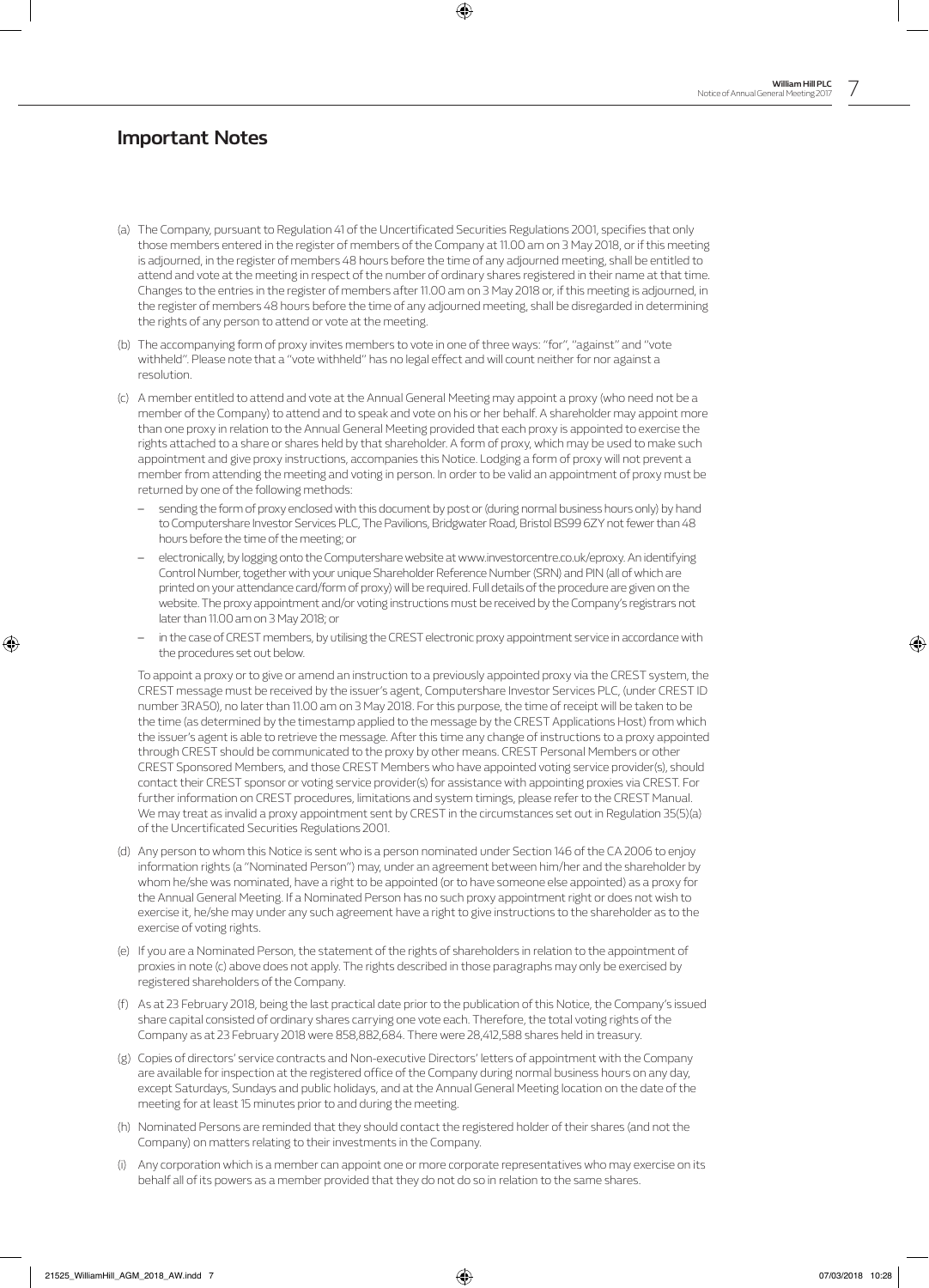## **Important Notes**

(a) The Company, pursuant to Regulation 41 of the Uncertificated Securities Regulations 2001, specifies that only those members entered in the register of members of the Company at 11.00 am on 3 May 2018, or if this meeting is adjourned, in the register of members 48 hours before the time of any adjourned meeting, shall be entitled to attend and vote at the meeting in respect of the number of ordinary shares registered in their name at that time. Changes to the entries in the register of members after 11.00 am on 3 May 2018 or, if this meeting is adjourned, in the register of members 48 hours before the time of any adjourned meeting, shall be disregarded in determining the rights of any person to attend or vote at the meeting.

⊕

- (b) The accompanying form of proxy invites members to vote in one of three ways: "for", "against" and "vote withheld". Please note that a "vote withheld" has no legal effect and will count neither for nor against a resolution.
- (c) A member entitled to attend and vote at the Annual General Meeting may appoint a proxy (who need not be a member of the Company) to attend and to speak and vote on his or her behalf. A shareholder may appoint more than one proxy in relation to the Annual General Meeting provided that each proxy is appointed to exercise the rights attached to a share or shares held by that shareholder. A form of proxy, which may be used to make such appointment and give proxy instructions, accompanies this Notice. Lodging a form of proxy will not prevent a member from attending the meeting and voting in person. In order to be valid an appointment of proxy must be returned by one of the following methods:
	- sending the form of proxy enclosed with this document by post or (during normal business hours only) by hand to Computershare Investor Services PLC, The Pavilions, Bridgwater Road, Bristol BS99 6ZY not fewer than 48 hours before the time of the meeting; or
	- electronically, by logging onto the Computershare website at www.investorcentre.co.uk/eproxy. An identifying Control Number, together with your unique Shareholder Reference Number (SRN) and PIN (all of which are printed on your attendance card/form of proxy) will be required. Full details of the procedure are given on the website. The proxy appointment and/or voting instructions must be received by the Company's registrars not later than 11.00 am on 3 May 2018; or
	- in the case of CREST members, by utilising the CREST electronic proxy appointment service in accordance with the procedures set out below.

 To appoint a proxy or to give or amend an instruction to a previously appointed proxy via the CREST system, the CREST message must be received by the issuer's agent, Computershare Investor Services PLC, (under CREST ID number 3RA50), no later than 11.00 am on 3 May 2018. For this purpose, the time of receipt will be taken to be the time (as determined by the timestamp applied to the message by the CREST Applications Host) from which the issuer's agent is able to retrieve the message. After this time any change of instructions to a proxy appointed through CREST should be communicated to the proxy by other means. CREST Personal Members or other CREST Sponsored Members, and those CREST Members who have appointed voting service provider(s), should contact their CREST sponsor or voting service provider(s) for assistance with appointing proxies via CREST. For further information on CREST procedures, limitations and system timings, please refer to the CREST Manual. We may treat as invalid a proxy appointment sent by CREST in the circumstances set out in Regulation 35(5)(a) of the Uncertificated Securities Regulations 2001.

- (d) Any person to whom this Notice is sent who is a person nominated under Section 146 of the CA 2006 to enjoy information rights (a "Nominated Person") may, under an agreement between him/her and the shareholder by whom he/she was nominated, have a right to be appointed (or to have someone else appointed) as a proxy for the Annual General Meeting. If a Nominated Person has no such proxy appointment right or does not wish to exercise it, he/she may under any such agreement have a right to give instructions to the shareholder as to the exercise of voting rights.
- (e) If you are a Nominated Person, the statement of the rights of shareholders in relation to the appointment of proxies in note (c) above does not apply. The rights described in those paragraphs may only be exercised by registered shareholders of the Company.
- (f) As at 23 February 2018, being the last practical date prior to the publication of this Notice, the Company's issued share capital consisted of ordinary shares carrying one vote each. Therefore, the total voting rights of the Company as at 23 February 2018 were 858,882,684. There were 28,412,588 shares held in treasury.
- (g) Copies of directors' service contracts and Non-executive Directors' letters of appointment with the Company are available for inspection at the registered office of the Company during normal business hours on any day, except Saturdays, Sundays and public holidays, and at the Annual General Meeting location on the date of the meeting for at least 15 minutes prior to and during the meeting.
- (h) Nominated Persons are reminded that they should contact the registered holder of their shares (and not the Company) on matters relating to their investments in the Company.
- Any corporation which is a member can appoint one or more corporate representatives who may exercise on its behalf all of its powers as a member provided that they do not do so in relation to the same shares.